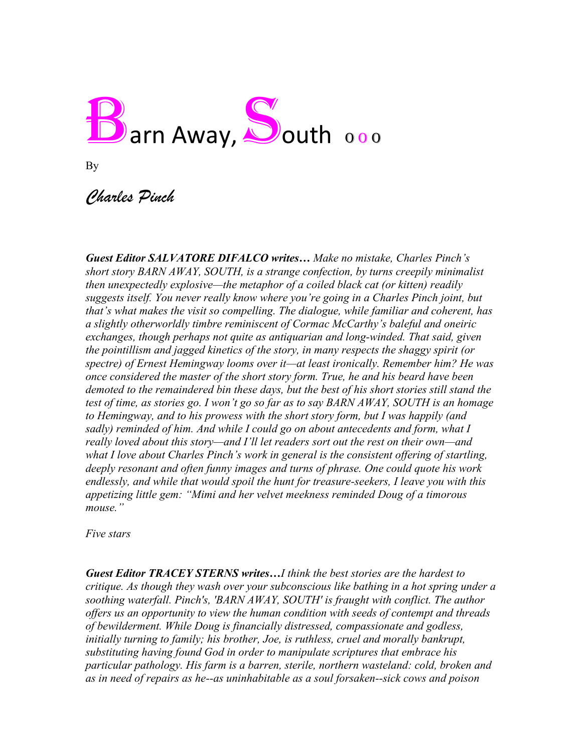

By

## *Charles Pinch*

*Guest Editor SALVATORE DIFALCO writes… Make no mistake, Charles Pinch's short story BARN AWAY, SOUTH, is a strange confection, by turns creepily minimalist then unexpectedly explosive—the metaphor of a coiled black cat (or kitten) readily suggests itself. You never really know where you're going in a Charles Pinch joint, but that's what makes the visit so compelling. The dialogue, while familiar and coherent, has a slightly otherworldly timbre reminiscent of Cormac McCarthy's baleful and oneiric exchanges, though perhaps not quite as antiquarian and long-winded. That said, given the pointillism and jagged kinetics of the story, in many respects the shaggy spirit (or spectre) of Ernest Hemingway looms over it—at least ironically. Remember him? He was once considered the master of the short story form. True, he and his beard have been demoted to the remaindered bin these days, but the best of his short stories still stand the test of time, as stories go. I won't go so far as to say BARN AWAY, SOUTH is an homage to Hemingway, and to his prowess with the short story form, but I was happily (and sadly) reminded of him. And while I could go on about antecedents and form, what I really loved about this story—and I'll let readers sort out the rest on their own—and what I love about Charles Pinch's work in general is the consistent offering of startling, deeply resonant and often funny images and turns of phrase. One could quote his work endlessly, and while that would spoil the hunt for treasure-seekers, I leave you with this appetizing little gem: "Mimi and her velvet meekness reminded Doug of a timorous mouse."*

*Five stars*

*Guest Editor TRACEY STERNS writes…I think the best stories are the hardest to critique. As though they wash over your subconscious like bathing in a hot spring under a soothing waterfall. Pinch's, 'BARN AWAY, SOUTH' is fraught with conflict. The author offers us an opportunity to view the human condition with seeds of contempt and threads of bewilderment. While Doug is financially distressed, compassionate and godless, initially turning to family; his brother, Joe, is ruthless, cruel and morally bankrupt, substituting having found God in order to manipulate scriptures that embrace his particular pathology. His farm is a barren, sterile, northern wasteland: cold, broken and as in need of repairs as he--as uninhabitable as a soul forsaken--sick cows and poison*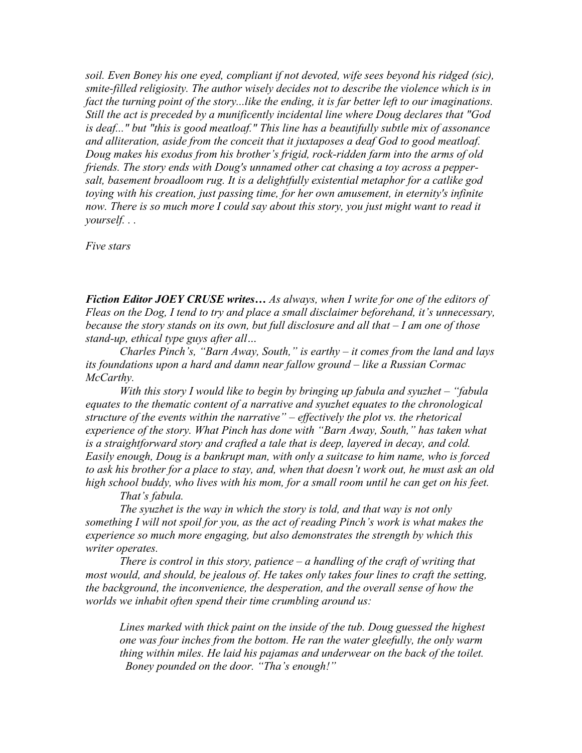*soil. Even Boney his one eyed, compliant if not devoted, wife sees beyond his ridged (sic), smite-filled religiosity. The author wisely decides not to describe the violence which is in fact the turning point of the story...like the ending, it is far better left to our imaginations. Still the act is preceded by a munificently incidental line where Doug declares that "God is deaf..." but "this is good meatloaf." This line has a beautifully subtle mix of assonance and alliteration, aside from the conceit that it juxtaposes a deaf God to good meatloaf. Doug makes his exodus from his brother's frigid, rock-ridden farm into the arms of old friends. The story ends with Doug's unnamed other cat chasing a toy across a peppersalt, basement broadloom rug. It is a delightfully existential metaphor for a catlike god toying with his creation, just passing time, for her own amusement, in eternity's infinite now. There is so much more I could say about this story, you just might want to read it yourself. . .*

*Five stars*

*Fiction Editor JOEY CRUSE writes… As always, when I write for one of the editors of Fleas on the Dog, I tend to try and place a small disclaimer beforehand, it's unnecessary, because the story stands on its own, but full disclosure and all that – I am one of those stand-up, ethical type guys after all…*

*Charles Pinch's, "Barn Away, South," is earthy – it comes from the land and lays its foundations upon a hard and damn near fallow ground – like a Russian Cormac McCarthy.* 

*With this story I would like to begin by bringing up fabula and syuzhet – "fabula equates to the thematic content of a narrative and syuzhet equates to the chronological structure of the events within the narrative" – effectively the plot vs. the rhetorical experience of the story. What Pinch has done with "Barn Away, South," has taken what is a straightforward story and crafted a tale that is deep, layered in decay, and cold. Easily enough, Doug is a bankrupt man, with only a suitcase to him name, who is forced to ask his brother for a place to stay, and, when that doesn't work out, he must ask an old high school buddy, who lives with his mom, for a small room until he can get on his feet.* 

*That's fabula.* 

*The syuzhet is the way in which the story is told, and that way is not only something I will not spoil for you, as the act of reading Pinch's work is what makes the experience so much more engaging, but also demonstrates the strength by which this writer operates.* 

*There is control in this story, patience – a handling of the craft of writing that most would, and should, be jealous of. He takes only takes four lines to craft the setting, the background, the inconvenience, the desperation, and the overall sense of how the worlds we inhabit often spend their time crumbling around us:* 

*Lines marked with thick paint on the inside of the tub. Doug guessed the highest one was four inches from the bottom. He ran the water gleefully, the only warm thing within miles. He laid his pajamas and underwear on the back of the toilet. Boney pounded on the door. "Tha's enough!"*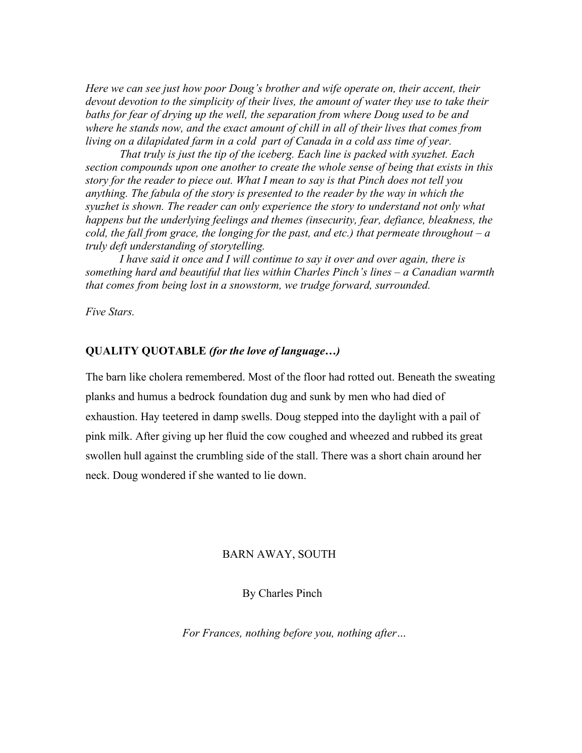*Here we can see just how poor Doug's brother and wife operate on, their accent, their devout devotion to the simplicity of their lives, the amount of water they use to take their*  baths for fear of drying up the well, the separation from where Doug used to be and *where he stands now, and the exact amount of chill in all of their lives that comes from living on a dilapidated farm in a cold part of Canada in a cold ass time of year.* 

*That truly is just the tip of the iceberg. Each line is packed with syuzhet. Each section compounds upon one another to create the whole sense of being that exists in this story for the reader to piece out. What I mean to say is that Pinch does not tell you anything. The fabula of the story is presented to the reader by the way in which the syuzhet is shown. The reader can only experience the story to understand not only what happens but the underlying feelings and themes (insecurity, fear, defiance, bleakness, the cold, the fall from grace, the longing for the past, and etc.) that permeate throughout – a truly deft understanding of storytelling.* 

*I have said it once and I will continue to say it over and over again, there is something hard and beautiful that lies within Charles Pinch's lines – a Canadian warmth that comes from being lost in a snowstorm, we trudge forward, surrounded.* 

*Five Stars.*

## **QUALITY QUOTABLE** *(for the love of language…)*

The barn like cholera remembered. Most of the floor had rotted out. Beneath the sweating planks and humus a bedrock foundation dug and sunk by men who had died of exhaustion. Hay teetered in damp swells. Doug stepped into the daylight with a pail of pink milk. After giving up her fluid the cow coughed and wheezed and rubbed its great swollen hull against the crumbling side of the stall. There was a short chain around her neck. Doug wondered if she wanted to lie down.

## BARN AWAY, SOUTH

By Charles Pinch

 *For Frances, nothing before you, nothing after…*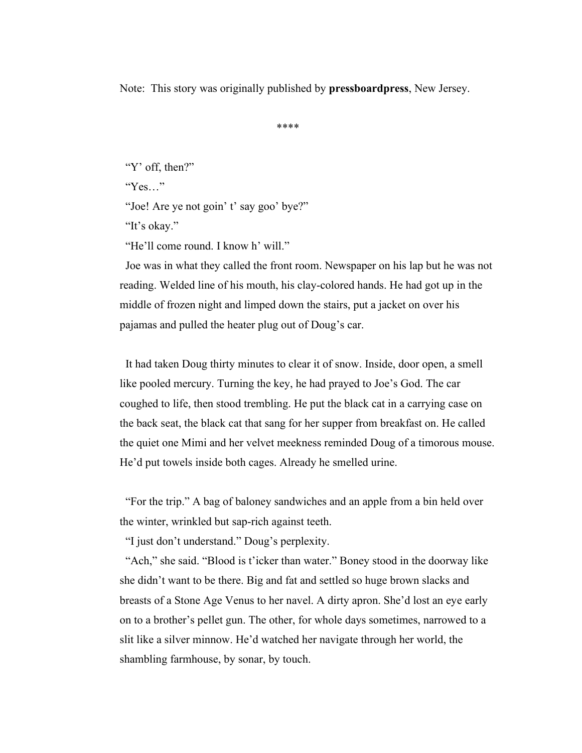Note: This story was originally published by **pressboardpress**, New Jersey.

\*\*\*\*

"Y' off, then?"

"Yes…"

"Joe! Are ye not goin' t' say goo' bye?"

"It's okay."

"He'll come round. I know h' will."

 Joe was in what they called the front room. Newspaper on his lap but he was not reading. Welded line of his mouth, his clay-colored hands. He had got up in the middle of frozen night and limped down the stairs, put a jacket on over his pajamas and pulled the heater plug out of Doug's car.

 It had taken Doug thirty minutes to clear it of snow. Inside, door open, a smell like pooled mercury. Turning the key, he had prayed to Joe's God. The car coughed to life, then stood trembling. He put the black cat in a carrying case on the back seat, the black cat that sang for her supper from breakfast on. He called the quiet one Mimi and her velvet meekness reminded Doug of a timorous mouse. He'd put towels inside both cages. Already he smelled urine.

 "For the trip." A bag of baloney sandwiches and an apple from a bin held over the winter, wrinkled but sap-rich against teeth.

"I just don't understand." Doug's perplexity.

 "Ach," she said. "Blood is t'icker than water." Boney stood in the doorway like she didn't want to be there. Big and fat and settled so huge brown slacks and breasts of a Stone Age Venus to her navel. A dirty apron. She'd lost an eye early on to a brother's pellet gun. The other, for whole days sometimes, narrowed to a slit like a silver minnow. He'd watched her navigate through her world, the shambling farmhouse, by sonar, by touch.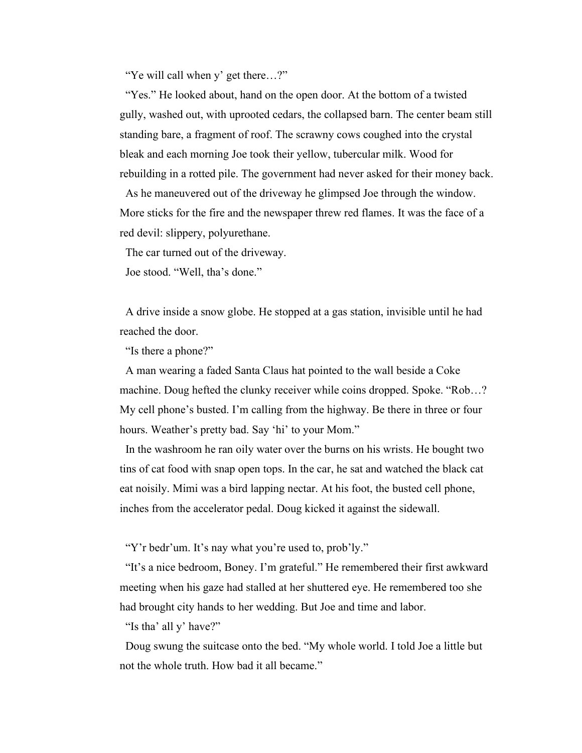"Ye will call when y' get there…?"

 "Yes." He looked about, hand on the open door. At the bottom of a twisted gully, washed out, with uprooted cedars, the collapsed barn. The center beam still standing bare, a fragment of roof. The scrawny cows coughed into the crystal bleak and each morning Joe took their yellow, tubercular milk. Wood for rebuilding in a rotted pile. The government had never asked for their money back.

 As he maneuvered out of the driveway he glimpsed Joe through the window. More sticks for the fire and the newspaper threw red flames. It was the face of a red devil: slippery, polyurethane.

The car turned out of the driveway.

Joe stood. "Well, tha's done."

 A drive inside a snow globe. He stopped at a gas station, invisible until he had reached the door.

"Is there a phone?"

 A man wearing a faded Santa Claus hat pointed to the wall beside a Coke machine. Doug hefted the clunky receiver while coins dropped. Spoke. "Rob…? My cell phone's busted. I'm calling from the highway. Be there in three or four hours. Weather's pretty bad. Say 'hi' to your Mom."

 In the washroom he ran oily water over the burns on his wrists. He bought two tins of cat food with snap open tops. In the car, he sat and watched the black cat eat noisily. Mimi was a bird lapping nectar. At his foot, the busted cell phone, inches from the accelerator pedal. Doug kicked it against the sidewall.

"Y'r bedr'um. It's nay what you're used to, prob'ly."

 "It's a nice bedroom, Boney. I'm grateful." He remembered their first awkward meeting when his gaze had stalled at her shuttered eye. He remembered too she had brought city hands to her wedding. But Joe and time and labor.

"Is tha' all y' have?"

 Doug swung the suitcase onto the bed. "My whole world. I told Joe a little but not the whole truth. How bad it all became."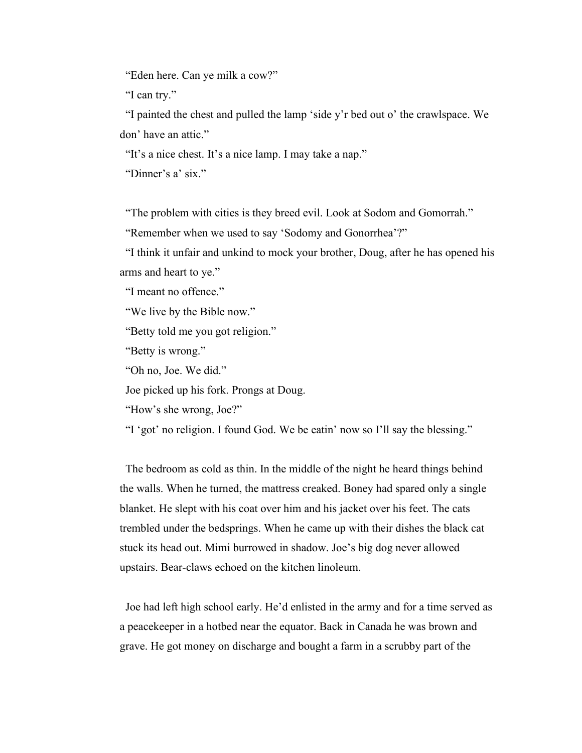"Eden here. Can ye milk a cow?"

"I can try."

 "I painted the chest and pulled the lamp 'side y'r bed out o' the crawlspace. We don' have an attic."

"It's a nice chest. It's a nice lamp. I may take a nap."

"Dinner's a' six."

"The problem with cities is they breed evil. Look at Sodom and Gomorrah."

"Remember when we used to say 'Sodomy and Gonorrhea'?"

 "I think it unfair and unkind to mock your brother, Doug, after he has opened his arms and heart to ye."

"I meant no offence."

"We live by the Bible now."

"Betty told me you got religion."

"Betty is wrong."

"Oh no, Joe. We did."

Joe picked up his fork. Prongs at Doug.

"How's she wrong, Joe?"

"I 'got' no religion. I found God. We be eatin' now so I'll say the blessing."

 The bedroom as cold as thin. In the middle of the night he heard things behind the walls. When he turned, the mattress creaked. Boney had spared only a single blanket. He slept with his coat over him and his jacket over his feet. The cats trembled under the bedsprings. When he came up with their dishes the black cat stuck its head out. Mimi burrowed in shadow. Joe's big dog never allowed upstairs. Bear-claws echoed on the kitchen linoleum.

 Joe had left high school early. He'd enlisted in the army and for a time served as a peacekeeper in a hotbed near the equator. Back in Canada he was brown and grave. He got money on discharge and bought a farm in a scrubby part of the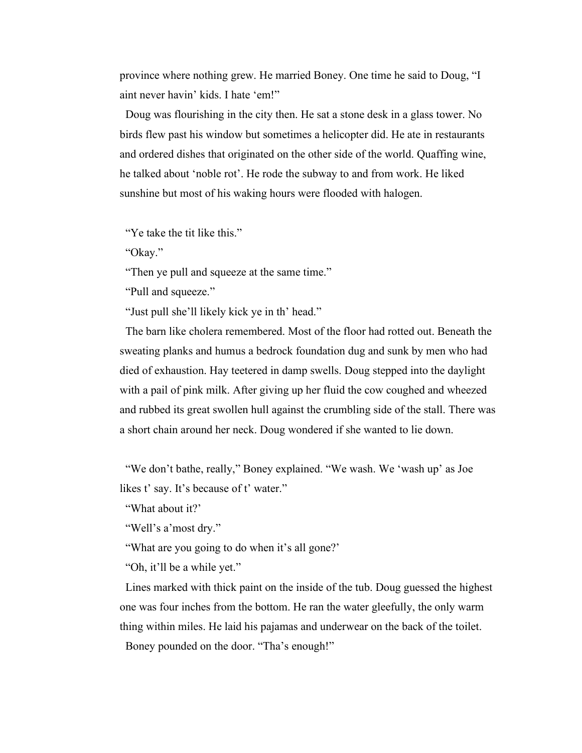province where nothing grew. He married Boney. One time he said to Doug, "I aint never havin' kids. I hate 'em!"

 Doug was flourishing in the city then. He sat a stone desk in a glass tower. No birds flew past his window but sometimes a helicopter did. He ate in restaurants and ordered dishes that originated on the other side of the world. Quaffing wine, he talked about 'noble rot'. He rode the subway to and from work. He liked sunshine but most of his waking hours were flooded with halogen.

"Ye take the tit like this."

"Okay."

"Then ye pull and squeeze at the same time."

"Pull and squeeze."

"Just pull she'll likely kick ye in th' head."

 The barn like cholera remembered. Most of the floor had rotted out. Beneath the sweating planks and humus a bedrock foundation dug and sunk by men who had died of exhaustion. Hay teetered in damp swells. Doug stepped into the daylight with a pail of pink milk. After giving up her fluid the cow coughed and wheezed and rubbed its great swollen hull against the crumbling side of the stall. There was a short chain around her neck. Doug wondered if she wanted to lie down.

"We don't bathe, really," Boney explained. "We wash. We 'wash up' as Joe likes t' say. It's because of t' water."

"What about it?'

"Well's a'most dry."

"What are you going to do when it's all gone?'

"Oh, it'll be a while yet."

 Lines marked with thick paint on the inside of the tub. Doug guessed the highest one was four inches from the bottom. He ran the water gleefully, the only warm thing within miles. He laid his pajamas and underwear on the back of the toilet. Boney pounded on the door. "Tha's enough!"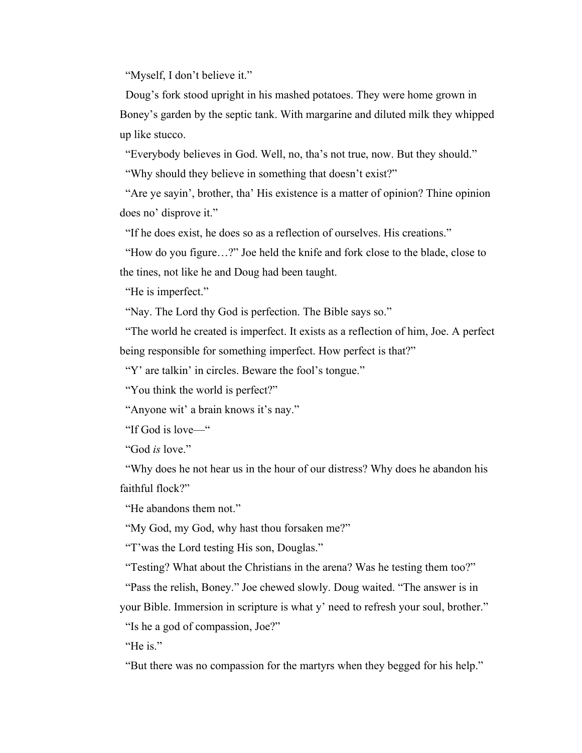"Myself, I don't believe it."

 Doug's fork stood upright in his mashed potatoes. They were home grown in Boney's garden by the septic tank. With margarine and diluted milk they whipped up like stucco.

 "Everybody believes in God. Well, no, tha's not true, now. But they should." "Why should they believe in something that doesn't exist?"

 "Are ye sayin', brother, tha' His existence is a matter of opinion? Thine opinion does no' disprove it."

"If he does exist, he does so as a reflection of ourselves. His creations."

 "How do you figure…?" Joe held the knife and fork close to the blade, close to the tines, not like he and Doug had been taught.

"He is imperfect."

"Nay. The Lord thy God is perfection. The Bible says so."

 "The world he created is imperfect. It exists as a reflection of him, Joe. A perfect being responsible for something imperfect. How perfect is that?"

"Y' are talkin' in circles. Beware the fool's tongue."

"You think the world is perfect?"

"Anyone wit' a brain knows it's nay."

"If God is love—"

"God *is* love."

 "Why does he not hear us in the hour of our distress? Why does he abandon his faithful flock?"

"He abandons them not."

"My God, my God, why hast thou forsaken me?"

"T'was the Lord testing His son, Douglas."

"Testing? What about the Christians in the arena? Was he testing them too?"

"Pass the relish, Boney." Joe chewed slowly. Doug waited. "The answer is in

your Bible. Immersion in scripture is what y' need to refresh your soul, brother."

"Is he a god of compassion, Joe?"

"He is."

"But there was no compassion for the martyrs when they begged for his help."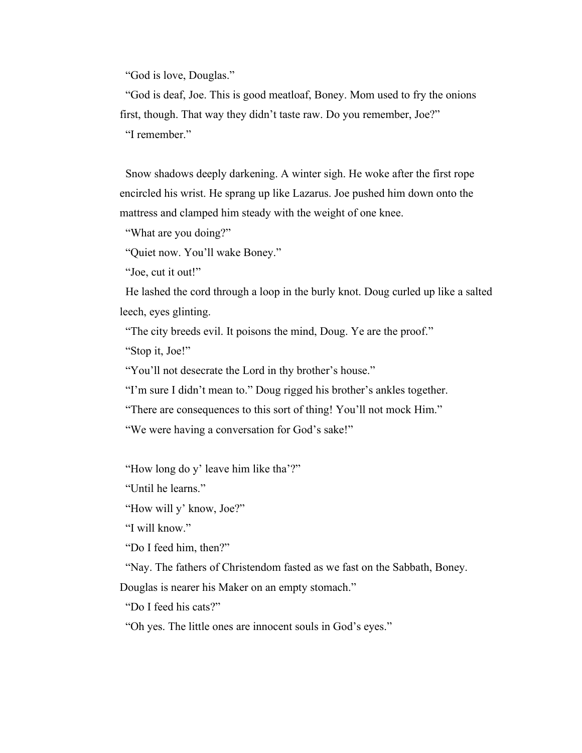"God is love, Douglas."

 "God is deaf, Joe. This is good meatloaf, Boney. Mom used to fry the onions first, though. That way they didn't taste raw. Do you remember, Joe?" "I remember."

 Snow shadows deeply darkening. A winter sigh. He woke after the first rope encircled his wrist. He sprang up like Lazarus. Joe pushed him down onto the mattress and clamped him steady with the weight of one knee.

"What are you doing?"

"Quiet now. You'll wake Boney."

"Joe, cut it out!"

 He lashed the cord through a loop in the burly knot. Doug curled up like a salted leech, eyes glinting.

"The city breeds evil. It poisons the mind, Doug. Ye are the proof."

"Stop it, Joe!"

"You'll not desecrate the Lord in thy brother's house."

"I'm sure I didn't mean to." Doug rigged his brother's ankles together.

"There are consequences to this sort of thing! You'll not mock Him."

"We were having a conversation for God's sake!"

"How long do y' leave him like tha'?"

"Until he learns."

"How will y' know, Joe?"

"I will know."

"Do I feed him, then?"

"Nay. The fathers of Christendom fasted as we fast on the Sabbath, Boney.

Douglas is nearer his Maker on an empty stomach."

"Do I feed his cats?"

"Oh yes. The little ones are innocent souls in God's eyes."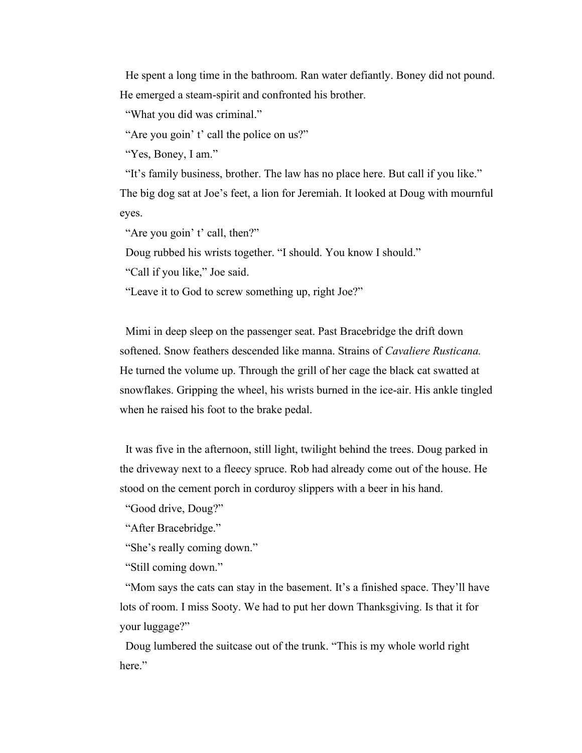He spent a long time in the bathroom. Ran water defiantly. Boney did not pound. He emerged a steam-spirit and confronted his brother.

"What you did was criminal."

"Are you goin' t' call the police on us?"

"Yes, Boney, I am."

 "It's family business, brother. The law has no place here. But call if you like." The big dog sat at Joe's feet, a lion for Jeremiah. It looked at Doug with mournful eyes.

"Are you goin' t' call, then?"

Doug rubbed his wrists together. "I should. You know I should."

"Call if you like," Joe said.

"Leave it to God to screw something up, right Joe?"

 Mimi in deep sleep on the passenger seat. Past Bracebridge the drift down softened. Snow feathers descended like manna. Strains of *Cavaliere Rusticana.* He turned the volume up. Through the grill of her cage the black cat swatted at snowflakes. Gripping the wheel, his wrists burned in the ice-air. His ankle tingled when he raised his foot to the brake pedal.

 It was five in the afternoon, still light, twilight behind the trees. Doug parked in the driveway next to a fleecy spruce. Rob had already come out of the house. He stood on the cement porch in corduroy slippers with a beer in his hand.

"Good drive, Doug?"

"After Bracebridge."

"She's really coming down."

"Still coming down."

 "Mom says the cats can stay in the basement. It's a finished space. They'll have lots of room. I miss Sooty. We had to put her down Thanksgiving. Is that it for your luggage?"

 Doug lumbered the suitcase out of the trunk. "This is my whole world right here."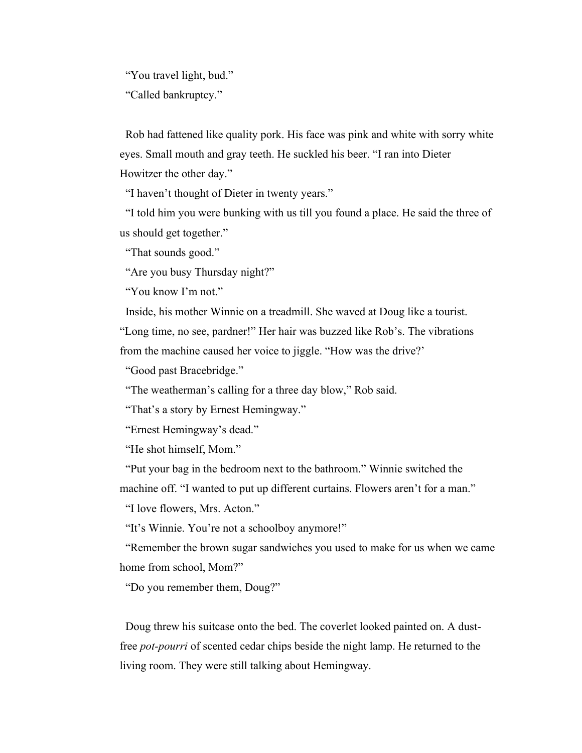"You travel light, bud." "Called bankruptcy."

 Rob had fattened like quality pork. His face was pink and white with sorry white eyes. Small mouth and gray teeth. He suckled his beer. "I ran into Dieter Howitzer the other day."

"I haven't thought of Dieter in twenty years."

 "I told him you were bunking with us till you found a place. He said the three of us should get together."

"That sounds good."

"Are you busy Thursday night?"

"You know I'm not."

Inside, his mother Winnie on a treadmill. She waved at Doug like a tourist.

"Long time, no see, pardner!" Her hair was buzzed like Rob's. The vibrations from the machine caused her voice to jiggle. "How was the drive?'

"Good past Bracebridge."

"The weatherman's calling for a three day blow," Rob said.

"That's a story by Ernest Hemingway."

"Ernest Hemingway's dead."

"He shot himself, Mom."

 "Put your bag in the bedroom next to the bathroom." Winnie switched the machine off. "I wanted to put up different curtains. Flowers aren't for a man."

"I love flowers, Mrs. Acton."

"It's Winnie. You're not a schoolboy anymore!"

 "Remember the brown sugar sandwiches you used to make for us when we came home from school, Mom?"

"Do you remember them, Doug?"

 Doug threw his suitcase onto the bed. The coverlet looked painted on. A dustfree *pot-pourri* of scented cedar chips beside the night lamp. He returned to the living room. They were still talking about Hemingway.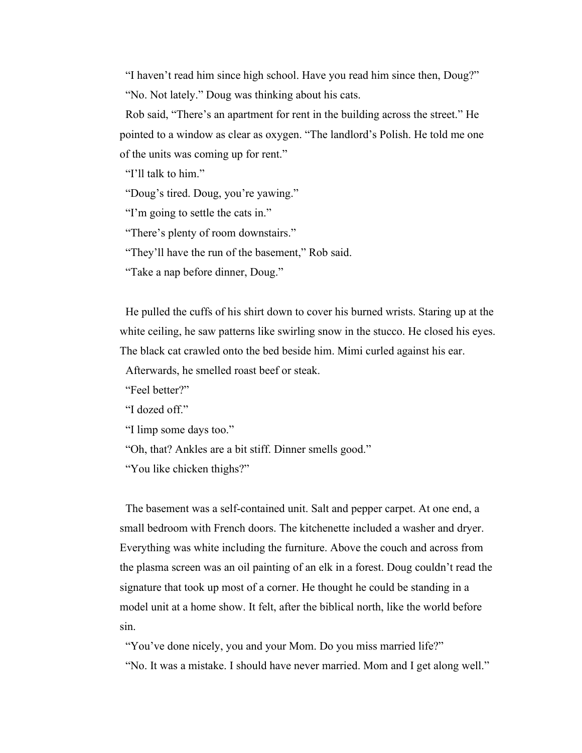"I haven't read him since high school. Have you read him since then, Doug?" "No. Not lately." Doug was thinking about his cats.

 Rob said, "There's an apartment for rent in the building across the street." He pointed to a window as clear as oxygen. "The landlord's Polish. He told me one of the units was coming up for rent."

"I'll talk to him."

"Doug's tired. Doug, you're yawing."

"I'm going to settle the cats in."

"There's plenty of room downstairs."

"They'll have the run of the basement," Rob said.

"Take a nap before dinner, Doug."

 He pulled the cuffs of his shirt down to cover his burned wrists. Staring up at the white ceiling, he saw patterns like swirling snow in the stucco. He closed his eyes. The black cat crawled onto the bed beside him. Mimi curled against his ear.

Afterwards, he smelled roast beef or steak.

"Feel better?"

"I dozed off."

"I limp some days too."

"Oh, that? Ankles are a bit stiff. Dinner smells good."

"You like chicken thighs?"

 The basement was a self-contained unit. Salt and pepper carpet. At one end, a small bedroom with French doors. The kitchenette included a washer and dryer. Everything was white including the furniture. Above the couch and across from the plasma screen was an oil painting of an elk in a forest. Doug couldn't read the signature that took up most of a corner. He thought he could be standing in a model unit at a home show. It felt, after the biblical north, like the world before sin.

"You've done nicely, you and your Mom. Do you miss married life?" "No. It was a mistake. I should have never married. Mom and I get along well."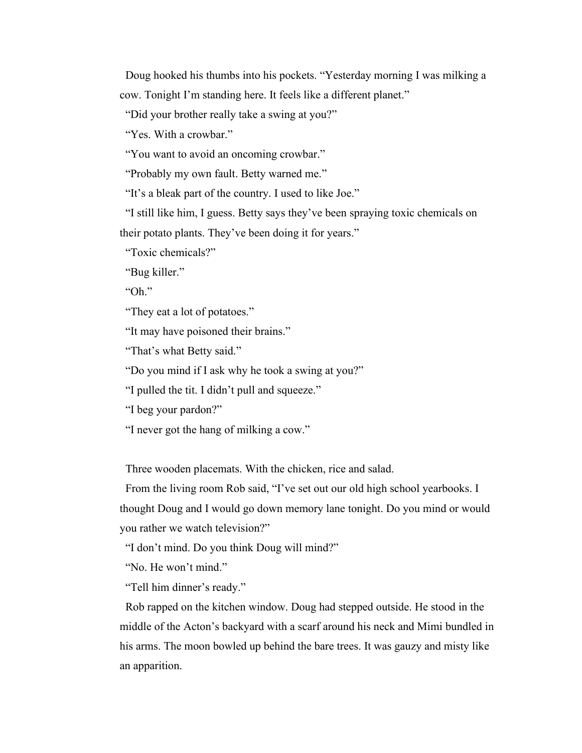Doug hooked his thumbs into his pockets. "Yesterday morning I was milking a cow. Tonight I'm standing here. It feels like a different planet."

"Did your brother really take a swing at you?"

"Yes. With a crowbar."

"You want to avoid an oncoming crowbar."

"Probably my own fault. Betty warned me."

"It's a bleak part of the country. I used to like Joe."

 "I still like him, I guess. Betty says they've been spraying toxic chemicals on their potato plants. They've been doing it for years."

"Toxic chemicals?"

"Bug killer."

"Oh."

"They eat a lot of potatoes."

"It may have poisoned their brains."

"That's what Betty said."

"Do you mind if I ask why he took a swing at you?"

"I pulled the tit. I didn't pull and squeeze."

"I beg your pardon?"

"I never got the hang of milking a cow."

Three wooden placemats. With the chicken, rice and salad.

 From the living room Rob said, "I've set out our old high school yearbooks. I thought Doug and I would go down memory lane tonight. Do you mind or would you rather we watch television?"

"I don't mind. Do you think Doug will mind?"

"No. He won't mind."

"Tell him dinner's ready."

 Rob rapped on the kitchen window. Doug had stepped outside. He stood in the middle of the Acton's backyard with a scarf around his neck and Mimi bundled in his arms. The moon bowled up behind the bare trees. It was gauzy and misty like an apparition.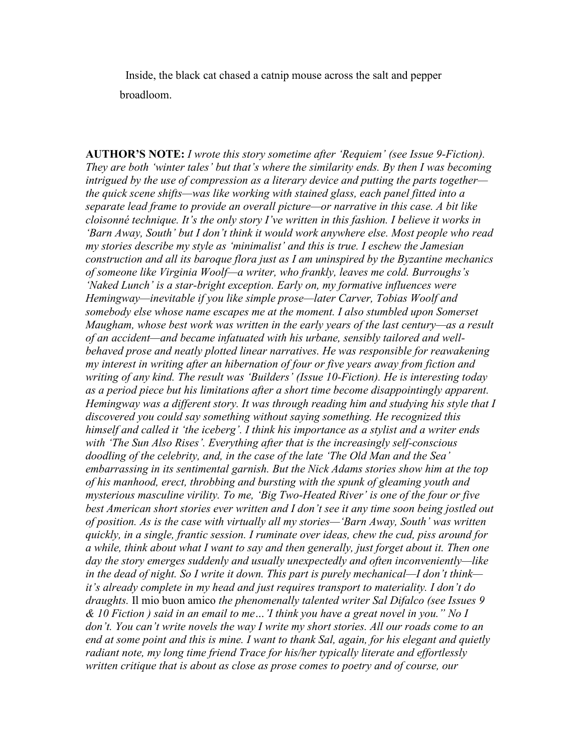Inside, the black cat chased a catnip mouse across the salt and pepper broadloom.

**AUTHOR'S NOTE:** *I wrote this story sometime after 'Requiem' (see Issue 9-Fiction). They are both 'winter tales' but that's where the similarity ends. By then I was becoming intrigued by the use of compression as a literary device and putting the parts together the quick scene shifts—was like working with stained glass, each panel fitted into a separate lead frame to provide an overall picture—or narrative in this case. A bit like cloisonné technique. It's the only story I've written in this fashion. I believe it works in 'Barn Away, South' but I don't think it would work anywhere else. Most people who read my stories describe my style as 'minimalist' and this is true. I eschew the Jamesian construction and all its baroque flora just as I am uninspired by the Byzantine mechanics of someone like Virginia Woolf—a writer, who frankly, leaves me cold. Burroughs's 'Naked Lunch' is a star-bright exception. Early on, my formative influences were Hemingway—inevitable if you like simple prose—later Carver, Tobias Woolf and somebody else whose name escapes me at the moment. I also stumbled upon Somerset Maugham, whose best work was written in the early years of the last century—as a result of an accident—and became infatuated with his urbane, sensibly tailored and wellbehaved prose and neatly plotted linear narratives. He was responsible for reawakening my interest in writing after an hibernation of four or five years away from fiction and writing of any kind. The result was 'Builders' (Issue 10-Fiction). He is interesting today as a period piece but his limitations after a short time become disappointingly apparent. Hemingway was a different story. It was through reading him and studying his style that I discovered you could say something without saying something. He recognized this himself and called it 'the iceberg'. I think his importance as a stylist and a writer ends with 'The Sun Also Rises'. Everything after that is the increasingly self-conscious doodling of the celebrity, and, in the case of the late 'The Old Man and the Sea' embarrassing in its sentimental garnish. But the Nick Adams stories show him at the top of his manhood, erect, throbbing and bursting with the spunk of gleaming youth and mysterious masculine virility. To me, 'Big Two-Heated River' is one of the four or five best American short stories ever written and I don't see it any time soon being jostled out of position. As is the case with virtually all my stories—'Barn Away, South' was written quickly, in a single, frantic session. I ruminate over ideas, chew the cud, piss around for a while, think about what I want to say and then generally, just forget about it. Then one day the story emerges suddenly and usually unexpectedly and often inconveniently—like in the dead of night. So I write it down. This part is purely mechanical—I don't think it's already complete in my head and just requires transport to materiality. I don't do draughts.* Il mio buon amico *the phenomenally talented writer Sal Difalco (see Issues 9 & 10 Fiction ) said in an email to me…'I think you have a great novel in you." No I don't. You can't write novels the way I write my short stories. All our roads come to an end at some point and this is mine. I want to thank Sal, again, for his elegant and quietly radiant note, my long time friend Trace for his/her typically literate and effortlessly written critique that is about as close as prose comes to poetry and of course, our*